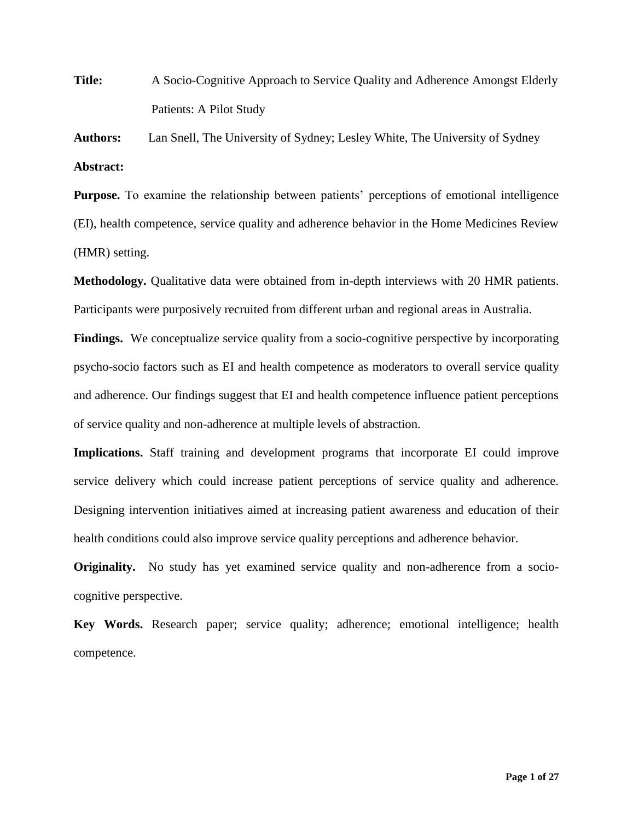**Title:** A Socio-Cognitive Approach to Service Quality and Adherence Amongst Elderly Patients: A Pilot Study

**Authors:** Lan Snell, The University of Sydney; Lesley White, The University of Sydney **Abstract:**

**Purpose.** To examine the relationship between patients' perceptions of emotional intelligence (EI), health competence, service quality and adherence behavior in the Home Medicines Review (HMR) setting.

**Methodology.** Qualitative data were obtained from in-depth interviews with 20 HMR patients. Participants were purposively recruited from different urban and regional areas in Australia.

**Findings.** We conceptualize service quality from a socio-cognitive perspective by incorporating psycho-socio factors such as EI and health competence as moderators to overall service quality and adherence. Our findings suggest that EI and health competence influence patient perceptions of service quality and non-adherence at multiple levels of abstraction.

**Implications.** Staff training and development programs that incorporate EI could improve service delivery which could increase patient perceptions of service quality and adherence. Designing intervention initiatives aimed at increasing patient awareness and education of their health conditions could also improve service quality perceptions and adherence behavior.

**Originality.** No study has yet examined service quality and non-adherence from a sociocognitive perspective.

**Key Words.** Research paper; service quality; adherence; emotional intelligence; health competence.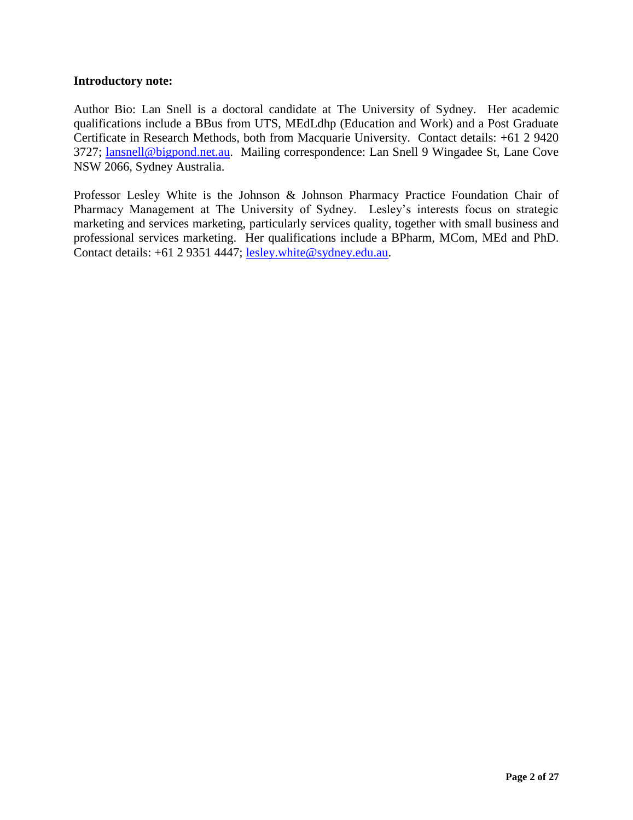# **Introductory note:**

Author Bio: Lan Snell is a doctoral candidate at The University of Sydney. Her academic qualifications include a BBus from UTS, MEdLdhp (Education and Work) and a Post Graduate Certificate in Research Methods, both from Macquarie University. Contact details: +61 2 9420 3727; [lansnell@bigpond.net.au.](mailto:lansnell@bigpond.net.au) Mailing correspondence: Lan Snell 9 Wingadee St, Lane Cove NSW 2066, Sydney Australia.

Professor Lesley White is the Johnson & Johnson Pharmacy Practice Foundation Chair of Pharmacy Management at The University of Sydney. Lesley's interests focus on strategic marketing and services marketing, particularly services quality, together with small business and professional services marketing. Her qualifications include a BPharm, MCom, MEd and PhD. Contact details: +61 2 9351 4447; [lesley.white@sydney.edu.au.](mailto:lesley.white@sydney.edu.au)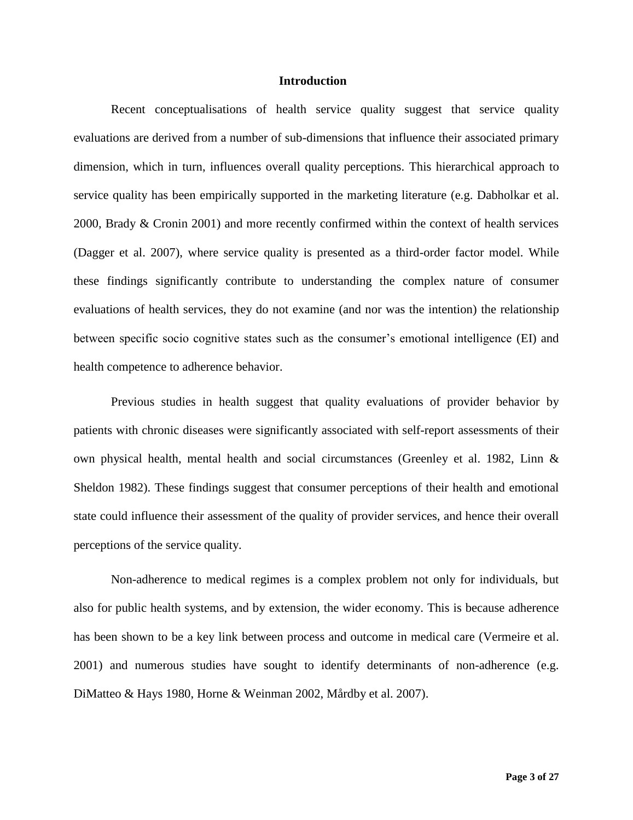## **Introduction**

Recent conceptualisations of health service quality suggest that service quality evaluations are derived from a number of sub-dimensions that influence their associated primary dimension, which in turn, influences overall quality perceptions. This hierarchical approach to service quality has been empirically supported in the marketing literature (e.g. Dabholkar et al. 2000, Brady & Cronin 2001) and more recently confirmed within the context of health services (Dagger et al. 2007), where service quality is presented as a third-order factor model. While these findings significantly contribute to understanding the complex nature of consumer evaluations of health services, they do not examine (and nor was the intention) the relationship between specific socio cognitive states such as the consumer's emotional intelligence (EI) and health competence to adherence behavior.

Previous studies in health suggest that quality evaluations of provider behavior by patients with chronic diseases were significantly associated with self-report assessments of their own physical health, mental health and social circumstances (Greenley et al. 1982, Linn & Sheldon 1982). These findings suggest that consumer perceptions of their health and emotional state could influence their assessment of the quality of provider services, and hence their overall perceptions of the service quality.

Non-adherence to medical regimes is a complex problem not only for individuals, but also for public health systems, and by extension, the wider economy. This is because adherence has been shown to be a key link between process and outcome in medical care (Vermeire et al. 2001) and numerous studies have sought to identify determinants of non-adherence (e.g. DiMatteo & Hays 1980, Horne & Weinman 2002, Mårdby et al. 2007).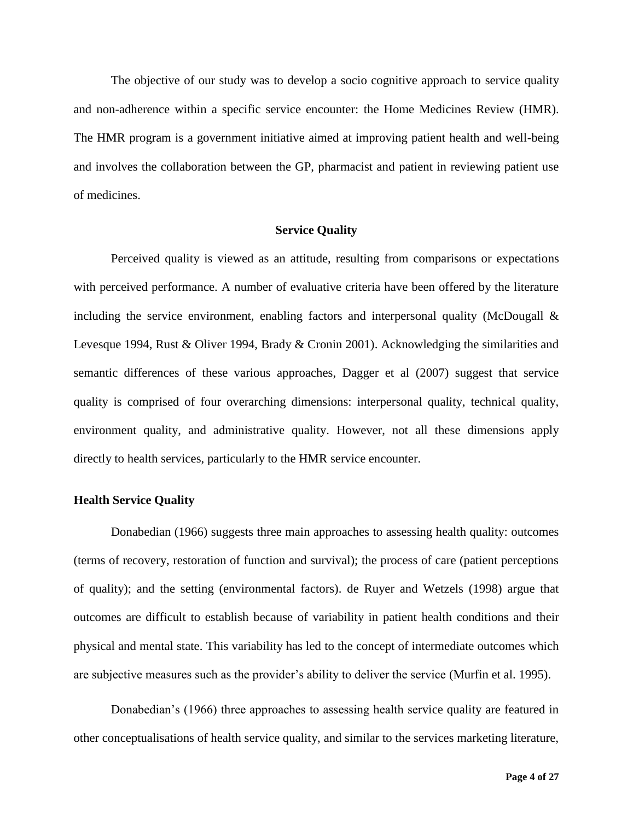The objective of our study was to develop a socio cognitive approach to service quality and non-adherence within a specific service encounter: the Home Medicines Review (HMR). The HMR program is a government initiative aimed at improving patient health and well-being and involves the collaboration between the GP, pharmacist and patient in reviewing patient use of medicines.

#### **Service Quality**

Perceived quality is viewed as an attitude, resulting from comparisons or expectations with perceived performance. A number of evaluative criteria have been offered by the literature including the service environment, enabling factors and interpersonal quality (McDougall  $\&$ Levesque 1994, Rust & Oliver 1994, Brady & Cronin 2001). Acknowledging the similarities and semantic differences of these various approaches, Dagger et al (2007) suggest that service quality is comprised of four overarching dimensions: interpersonal quality, technical quality, environment quality, and administrative quality. However, not all these dimensions apply directly to health services, particularly to the HMR service encounter.

## **Health Service Quality**

Donabedian (1966) suggests three main approaches to assessing health quality: outcomes (terms of recovery, restoration of function and survival); the process of care (patient perceptions of quality); and the setting (environmental factors). de Ruyer and Wetzels (1998) argue that outcomes are difficult to establish because of variability in patient health conditions and their physical and mental state. This variability has led to the concept of intermediate outcomes which are subjective measures such as the provider's ability to deliver the service (Murfin et al. 1995).

Donabedian's (1966) three approaches to assessing health service quality are featured in other conceptualisations of health service quality, and similar to the services marketing literature,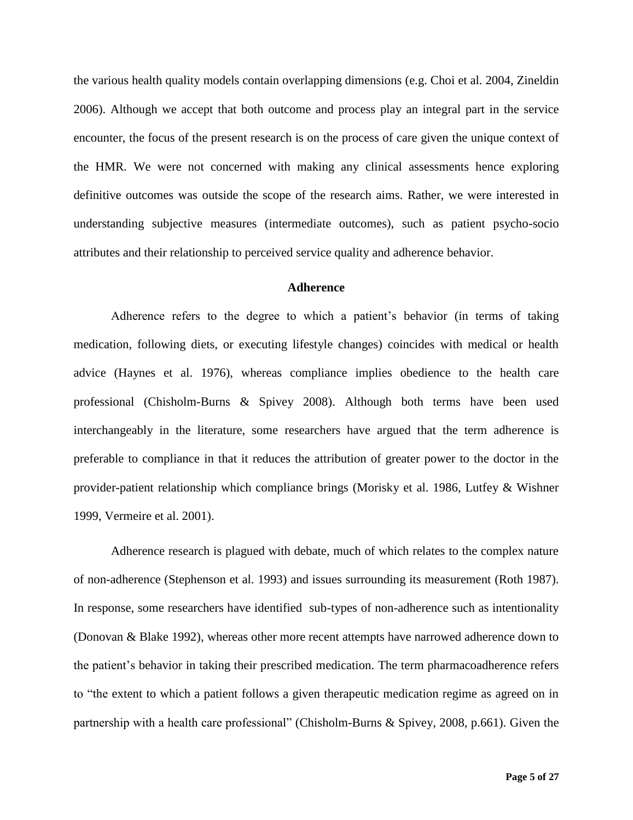the various health quality models contain overlapping dimensions (e.g. Choi et al. 2004, Zineldin 2006). Although we accept that both outcome and process play an integral part in the service encounter, the focus of the present research is on the process of care given the unique context of the HMR. We were not concerned with making any clinical assessments hence exploring definitive outcomes was outside the scope of the research aims. Rather, we were interested in understanding subjective measures (intermediate outcomes), such as patient psycho-socio attributes and their relationship to perceived service quality and adherence behavior.

#### **Adherence**

Adherence refers to the degree to which a patient's behavior (in terms of taking medication, following diets, or executing lifestyle changes) coincides with medical or health advice (Haynes et al. 1976), whereas compliance implies obedience to the health care professional (Chisholm-Burns & Spivey 2008). Although both terms have been used interchangeably in the literature, some researchers have argued that the term adherence is preferable to compliance in that it reduces the attribution of greater power to the doctor in the provider-patient relationship which compliance brings (Morisky et al. 1986, Lutfey & Wishner 1999, Vermeire et al. 2001).

Adherence research is plagued with debate, much of which relates to the complex nature of non-adherence (Stephenson et al. 1993) and issues surrounding its measurement (Roth 1987). In response, some researchers have identified sub-types of non-adherence such as intentionality (Donovan & Blake 1992), whereas other more recent attempts have narrowed adherence down to the patient's behavior in taking their prescribed medication. The term pharmacoadherence refers to "the extent to which a patient follows a given therapeutic medication regime as agreed on in partnership with a health care professional" (Chisholm-Burns & Spivey, 2008, p.661). Given the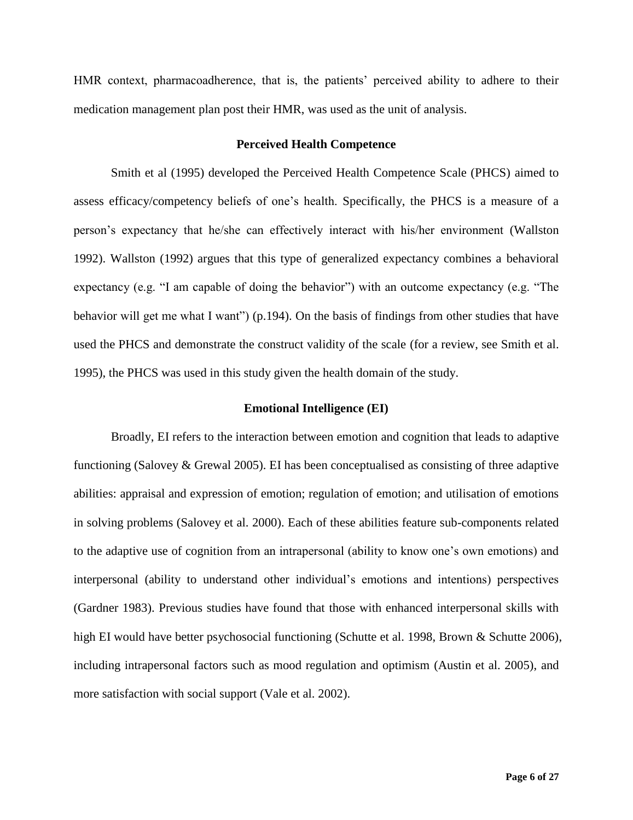HMR context, pharmacoadherence, that is, the patients' perceived ability to adhere to their medication management plan post their HMR, was used as the unit of analysis.

#### **Perceived Health Competence**

Smith et al (1995) developed the Perceived Health Competence Scale (PHCS) aimed to assess efficacy/competency beliefs of one's health. Specifically, the PHCS is a measure of a person's expectancy that he/she can effectively interact with his/her environment (Wallston 1992). Wallston (1992) argues that this type of generalized expectancy combines a behavioral expectancy (e.g. "I am capable of doing the behavior") with an outcome expectancy (e.g. "The behavior will get me what I want") (p.194). On the basis of findings from other studies that have used the PHCS and demonstrate the construct validity of the scale (for a review, see Smith et al. 1995), the PHCS was used in this study given the health domain of the study.

#### **Emotional Intelligence (EI)**

Broadly, EI refers to the interaction between emotion and cognition that leads to adaptive functioning (Salovey & Grewal 2005). EI has been conceptualised as consisting of three adaptive abilities: appraisal and expression of emotion; regulation of emotion; and utilisation of emotions in solving problems (Salovey et al. 2000). Each of these abilities feature sub-components related to the adaptive use of cognition from an intrapersonal (ability to know one's own emotions) and interpersonal (ability to understand other individual's emotions and intentions) perspectives (Gardner 1983). Previous studies have found that those with enhanced interpersonal skills with high EI would have better psychosocial functioning (Schutte et al. 1998, Brown & Schutte 2006), including intrapersonal factors such as mood regulation and optimism (Austin et al. 2005), and more satisfaction with social support (Vale et al. 2002).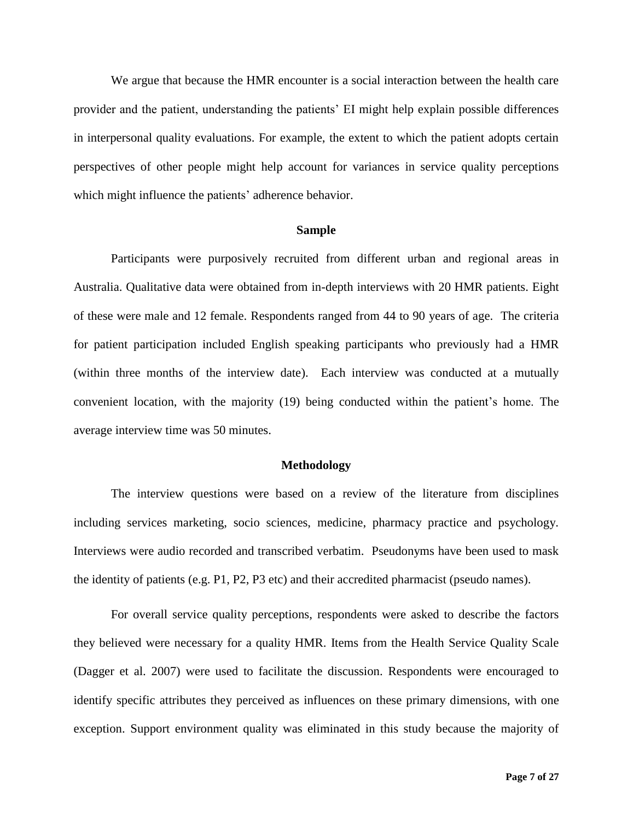We argue that because the HMR encounter is a social interaction between the health care provider and the patient, understanding the patients' EI might help explain possible differences in interpersonal quality evaluations. For example, the extent to which the patient adopts certain perspectives of other people might help account for variances in service quality perceptions which might influence the patients' adherence behavior.

#### **Sample**

Participants were purposively recruited from different urban and regional areas in Australia. Qualitative data were obtained from in-depth interviews with 20 HMR patients. Eight of these were male and 12 female. Respondents ranged from 44 to 90 years of age. The criteria for patient participation included English speaking participants who previously had a HMR (within three months of the interview date). Each interview was conducted at a mutually convenient location, with the majority (19) being conducted within the patient's home. The average interview time was 50 minutes.

## **Methodology**

The interview questions were based on a review of the literature from disciplines including services marketing, socio sciences, medicine, pharmacy practice and psychology. Interviews were audio recorded and transcribed verbatim. Pseudonyms have been used to mask the identity of patients (e.g. P1, P2, P3 etc) and their accredited pharmacist (pseudo names).

For overall service quality perceptions, respondents were asked to describe the factors they believed were necessary for a quality HMR. Items from the Health Service Quality Scale (Dagger et al. 2007) were used to facilitate the discussion. Respondents were encouraged to identify specific attributes they perceived as influences on these primary dimensions, with one exception. Support environment quality was eliminated in this study because the majority of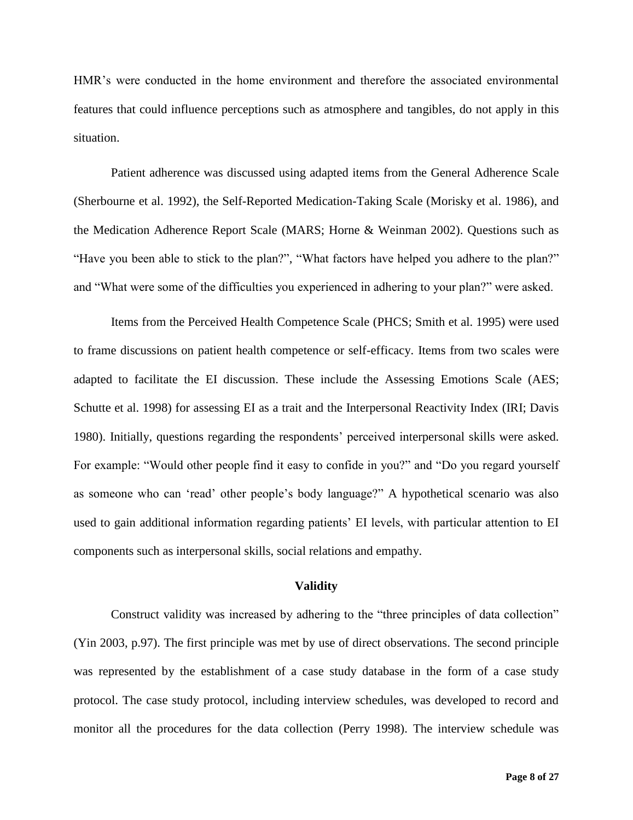HMR's were conducted in the home environment and therefore the associated environmental features that could influence perceptions such as atmosphere and tangibles, do not apply in this situation.

Patient adherence was discussed using adapted items from the General Adherence Scale (Sherbourne et al. 1992), the Self-Reported Medication-Taking Scale (Morisky et al. 1986), and the Medication Adherence Report Scale (MARS; Horne & Weinman 2002). Questions such as "Have you been able to stick to the plan?", "What factors have helped you adhere to the plan?" and "What were some of the difficulties you experienced in adhering to your plan?" were asked.

Items from the Perceived Health Competence Scale (PHCS; Smith et al. 1995) were used to frame discussions on patient health competence or self-efficacy. Items from two scales were adapted to facilitate the EI discussion. These include the Assessing Emotions Scale (AES; Schutte et al. 1998) for assessing EI as a trait and the Interpersonal Reactivity Index (IRI; Davis 1980). Initially, questions regarding the respondents' perceived interpersonal skills were asked. For example: "Would other people find it easy to confide in you?" and "Do you regard yourself as someone who can 'read' other people's body language?" A hypothetical scenario was also used to gain additional information regarding patients' EI levels, with particular attention to EI components such as interpersonal skills, social relations and empathy.

## **Validity**

Construct validity was increased by adhering to the "three principles of data collection" (Yin 2003, p.97). The first principle was met by use of direct observations. The second principle was represented by the establishment of a case study database in the form of a case study protocol. The case study protocol, including interview schedules, was developed to record and monitor all the procedures for the data collection (Perry 1998). The interview schedule was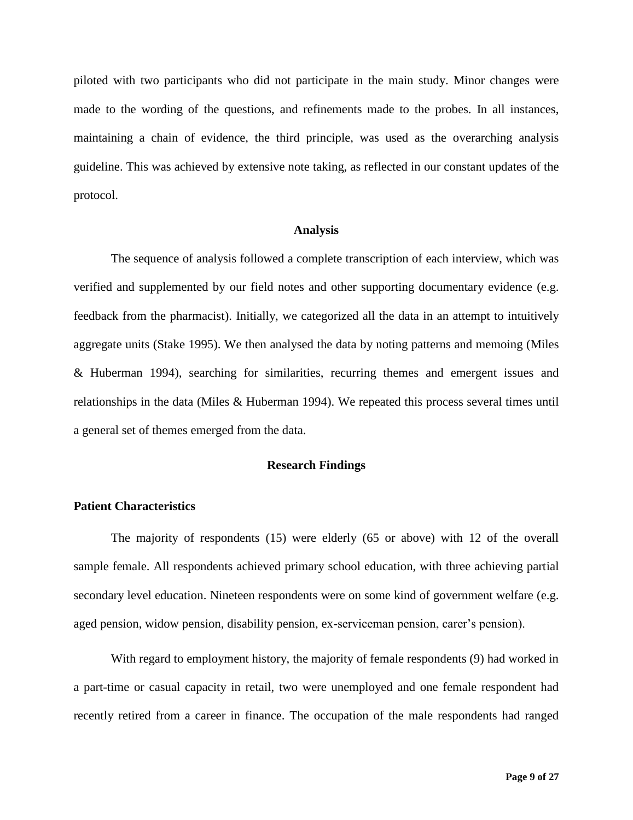piloted with two participants who did not participate in the main study. Minor changes were made to the wording of the questions, and refinements made to the probes. In all instances, maintaining a chain of evidence, the third principle, was used as the overarching analysis guideline. This was achieved by extensive note taking, as reflected in our constant updates of the protocol.

#### **Analysis**

The sequence of analysis followed a complete transcription of each interview, which was verified and supplemented by our field notes and other supporting documentary evidence (e.g. feedback from the pharmacist). Initially, we categorized all the data in an attempt to intuitively aggregate units (Stake 1995). We then analysed the data by noting patterns and memoing (Miles & Huberman 1994), searching for similarities, recurring themes and emergent issues and relationships in the data (Miles  $&$  Huberman 1994). We repeated this process several times until a general set of themes emerged from the data.

## **Research Findings**

#### **Patient Characteristics**

The majority of respondents (15) were elderly (65 or above) with 12 of the overall sample female. All respondents achieved primary school education, with three achieving partial secondary level education. Nineteen respondents were on some kind of government welfare (e.g. aged pension, widow pension, disability pension, ex-serviceman pension, carer's pension).

With regard to employment history, the majority of female respondents (9) had worked in a part-time or casual capacity in retail, two were unemployed and one female respondent had recently retired from a career in finance. The occupation of the male respondents had ranged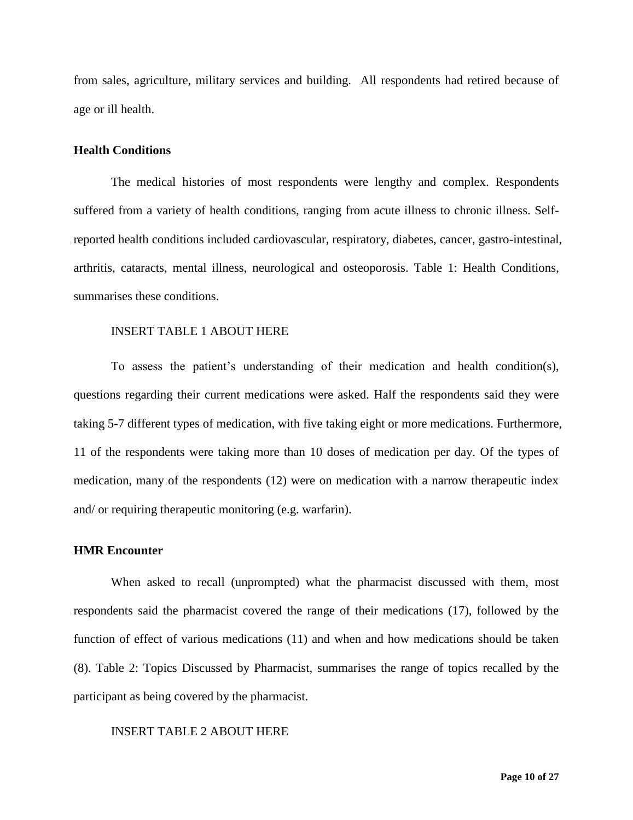from sales, agriculture, military services and building. All respondents had retired because of age or ill health.

#### **Health Conditions**

The medical histories of most respondents were lengthy and complex. Respondents suffered from a variety of health conditions, ranging from acute illness to chronic illness. Selfreported health conditions included cardiovascular, respiratory, diabetes, cancer, gastro-intestinal, arthritis, cataracts, mental illness, neurological and osteoporosis. Table 1: Health Conditions, summarises these conditions.

#### INSERT TABLE 1 ABOUT HERE

To assess the patient's understanding of their medication and health condition(s), questions regarding their current medications were asked. Half the respondents said they were taking 5-7 different types of medication, with five taking eight or more medications. Furthermore, 11 of the respondents were taking more than 10 doses of medication per day. Of the types of medication, many of the respondents (12) were on medication with a narrow therapeutic index and/ or requiring therapeutic monitoring (e.g. warfarin).

## **HMR Encounter**

When asked to recall (unprompted) what the pharmacist discussed with them, most respondents said the pharmacist covered the range of their medications (17), followed by the function of effect of various medications (11) and when and how medications should be taken (8). Table 2: Topics Discussed by Pharmacist, summarises the range of topics recalled by the participant as being covered by the pharmacist.

## INSERT TABLE 2 ABOUT HERE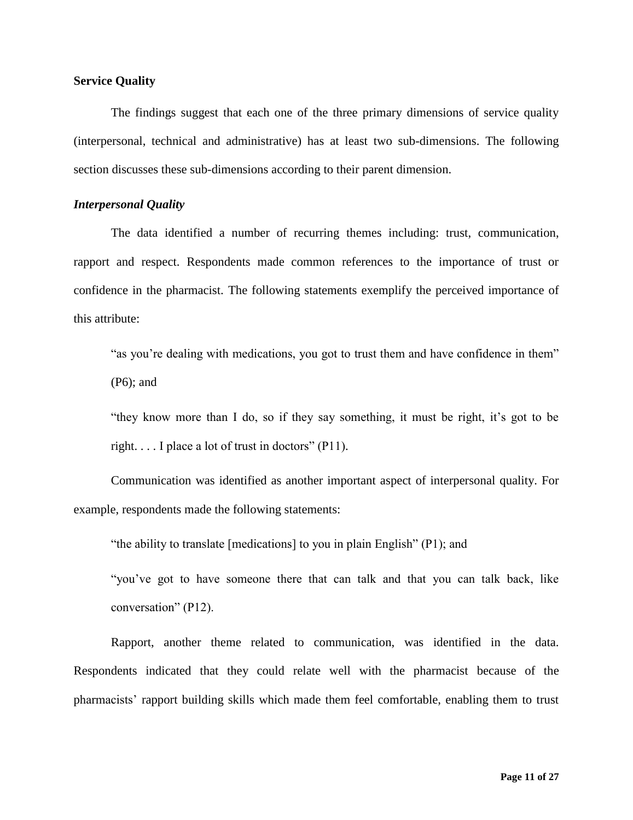## **Service Quality**

The findings suggest that each one of the three primary dimensions of service quality (interpersonal, technical and administrative) has at least two sub-dimensions. The following section discusses these sub-dimensions according to their parent dimension.

## *Interpersonal Quality*

The data identified a number of recurring themes including: trust, communication, rapport and respect. Respondents made common references to the importance of trust or confidence in the pharmacist. The following statements exemplify the perceived importance of this attribute:

"as you're dealing with medications, you got to trust them and have confidence in them" (P6); and

"they know more than I do, so if they say something, it must be right, it's got to be right.  $\ldots$  I place a lot of trust in doctors" (P11).

Communication was identified as another important aspect of interpersonal quality. For example, respondents made the following statements:

"the ability to translate [medications] to you in plain English" (P1); and

"you've got to have someone there that can talk and that you can talk back, like conversation" (P12).

Rapport, another theme related to communication, was identified in the data. Respondents indicated that they could relate well with the pharmacist because of the pharmacists' rapport building skills which made them feel comfortable, enabling them to trust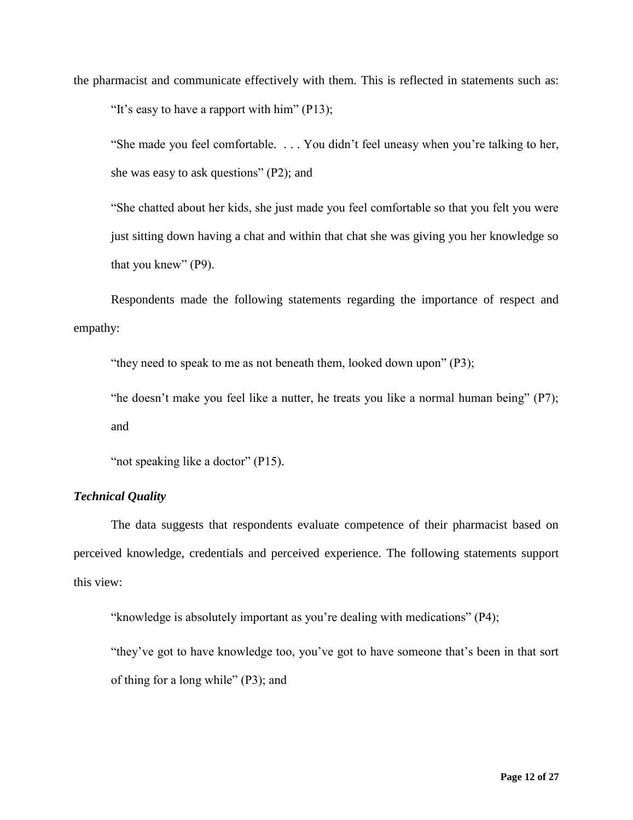the pharmacist and communicate effectively with them. This is reflected in statements such as: "It's easy to have a rapport with him"  $(P13)$ ;

"She made you feel comfortable. . . . You didn't feel uneasy when you're talking to her, she was easy to ask questions" (P2); and

"She chatted about her kids, she just made you feel comfortable so that you felt you were just sitting down having a chat and within that chat she was giving you her knowledge so that you knew" (P9).

Respondents made the following statements regarding the importance of respect and empathy:

"they need to speak to me as not beneath them, looked down upon" (P3);

"he doesn't make you feel like a nutter, he treats you like a normal human being" (P7); and

"not speaking like a doctor" (P15).

## *Technical Quality*

The data suggests that respondents evaluate competence of their pharmacist based on perceived knowledge, credentials and perceived experience. The following statements support this view:

"knowledge is absolutely important as you're dealing with medications" (P4);

"they've got to have knowledge too, you've got to have someone that's been in that sort of thing for a long while" (P3); and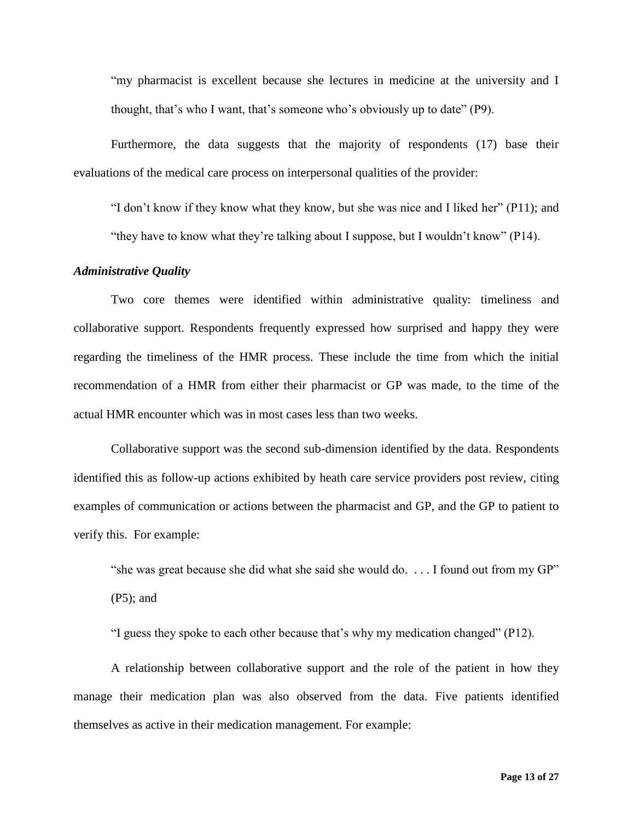"my pharmacist is excellent because she lectures in medicine at the university and I thought, that's who I want, that's someone who's obviously up to date" (P9).

Furthermore, the data suggests that the majority of respondents (17) base their evaluations of the medical care process on interpersonal qualities of the provider:

"I don't know if they know what they know, but she was nice and I liked her" (P11); and

"they have to know what they're talking about I suppose, but I wouldn't know" (P14).

## *Administrative Quality*

Two core themes were identified within administrative quality: timeliness and collaborative support. Respondents frequently expressed how surprised and happy they were regarding the timeliness of the HMR process. These include the time from which the initial recommendation of a HMR from either their pharmacist or GP was made, to the time of the actual HMR encounter which was in most cases less than two weeks.

Collaborative support was the second sub-dimension identified by the data. Respondents identified this as follow-up actions exhibited by heath care service providers post review, citing examples of communication or actions between the pharmacist and GP, and the GP to patient to verify this. For example:

"she was great because she did what she said she would do. . . . I found out from my GP" (P5); and

"I guess they spoke to each other because that's why my medication changed" (P12).

A relationship between collaborative support and the role of the patient in how they manage their medication plan was also observed from the data. Five patients identified themselves as active in their medication management. For example: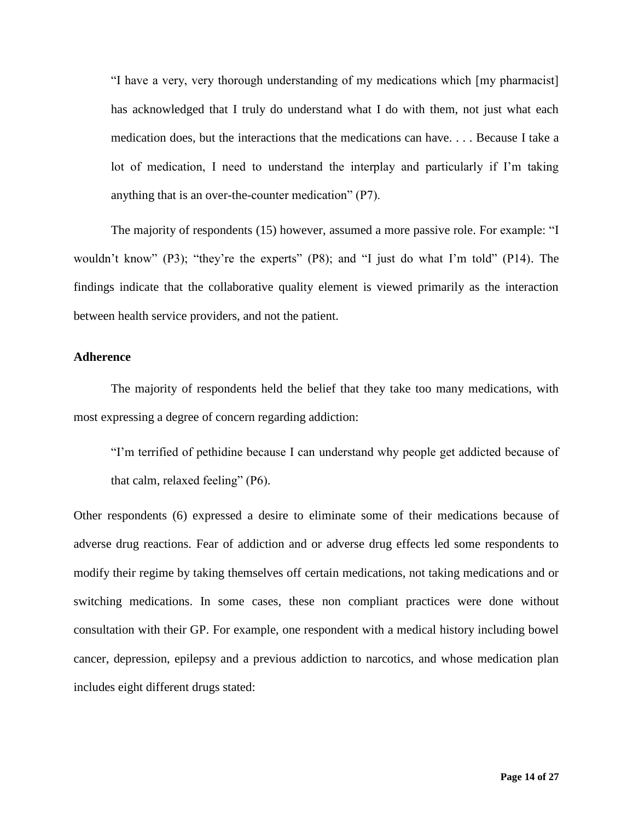"I have a very, very thorough understanding of my medications which [my pharmacist] has acknowledged that I truly do understand what I do with them, not just what each medication does, but the interactions that the medications can have. . . . Because I take a lot of medication, I need to understand the interplay and particularly if I'm taking anything that is an over-the-counter medication" (P7).

The majority of respondents (15) however, assumed a more passive role. For example: "I wouldn't know" (P3); "they're the experts" (P8); and "I just do what I'm told" (P14). The findings indicate that the collaborative quality element is viewed primarily as the interaction between health service providers, and not the patient.

## **Adherence**

The majority of respondents held the belief that they take too many medications, with most expressing a degree of concern regarding addiction:

"I'm terrified of pethidine because I can understand why people get addicted because of that calm, relaxed feeling" (P6).

Other respondents (6) expressed a desire to eliminate some of their medications because of adverse drug reactions. Fear of addiction and or adverse drug effects led some respondents to modify their regime by taking themselves off certain medications, not taking medications and or switching medications. In some cases, these non compliant practices were done without consultation with their GP. For example, one respondent with a medical history including bowel cancer, depression, epilepsy and a previous addiction to narcotics, and whose medication plan includes eight different drugs stated: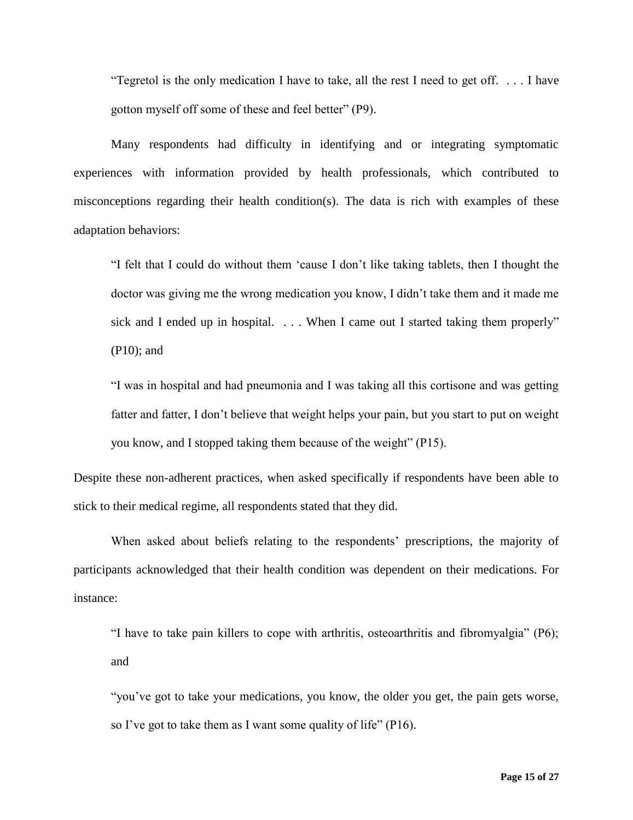"Tegretol is the only medication I have to take, all the rest I need to get off. . . . I have gotton myself off some of these and feel better" (P9).

Many respondents had difficulty in identifying and or integrating symptomatic experiences with information provided by health professionals, which contributed to misconceptions regarding their health condition(s). The data is rich with examples of these adaptation behaviors:

"I felt that I could do without them 'cause I don't like taking tablets, then I thought the doctor was giving me the wrong medication you know, I didn't take them and it made me sick and I ended up in hospital. . . . When I came out I started taking them properly" (P10); and

"I was in hospital and had pneumonia and I was taking all this cortisone and was getting fatter and fatter, I don't believe that weight helps your pain, but you start to put on weight you know, and I stopped taking them because of the weight" (P15).

Despite these non-adherent practices, when asked specifically if respondents have been able to stick to their medical regime, all respondents stated that they did.

When asked about beliefs relating to the respondents' prescriptions, the majority of participants acknowledged that their health condition was dependent on their medications. For instance:

"I have to take pain killers to cope with arthritis, osteoarthritis and fibromyalgia" (P6); and

"you've got to take your medications, you know, the older you get, the pain gets worse, so I've got to take them as I want some quality of life" (P16).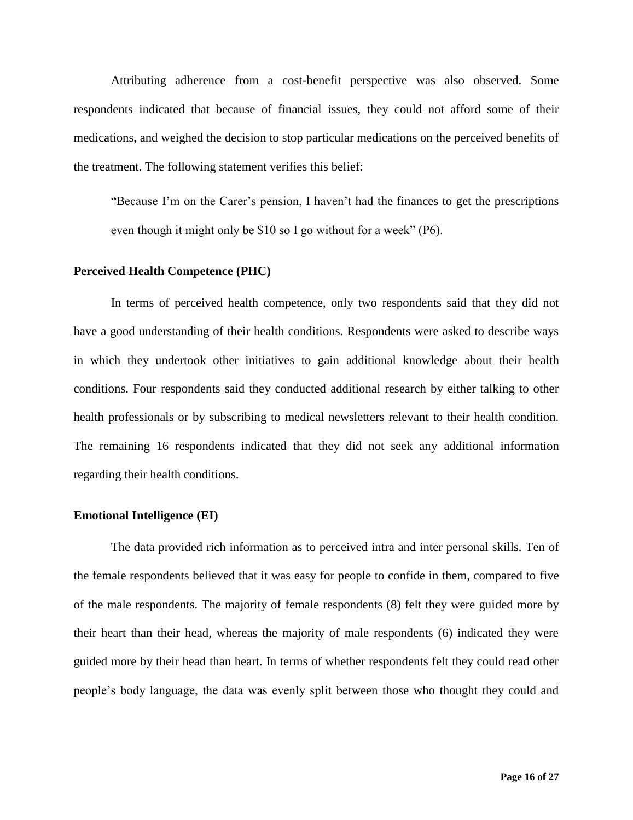Attributing adherence from a cost-benefit perspective was also observed. Some respondents indicated that because of financial issues, they could not afford some of their medications, and weighed the decision to stop particular medications on the perceived benefits of the treatment. The following statement verifies this belief:

"Because I'm on the Carer's pension, I haven't had the finances to get the prescriptions even though it might only be \$10 so I go without for a week" (P6).

## **Perceived Health Competence (PHC)**

In terms of perceived health competence, only two respondents said that they did not have a good understanding of their health conditions. Respondents were asked to describe ways in which they undertook other initiatives to gain additional knowledge about their health conditions. Four respondents said they conducted additional research by either talking to other health professionals or by subscribing to medical newsletters relevant to their health condition. The remaining 16 respondents indicated that they did not seek any additional information regarding their health conditions.

### **Emotional Intelligence (EI)**

The data provided rich information as to perceived intra and inter personal skills. Ten of the female respondents believed that it was easy for people to confide in them, compared to five of the male respondents. The majority of female respondents (8) felt they were guided more by their heart than their head, whereas the majority of male respondents (6) indicated they were guided more by their head than heart. In terms of whether respondents felt they could read other people's body language, the data was evenly split between those who thought they could and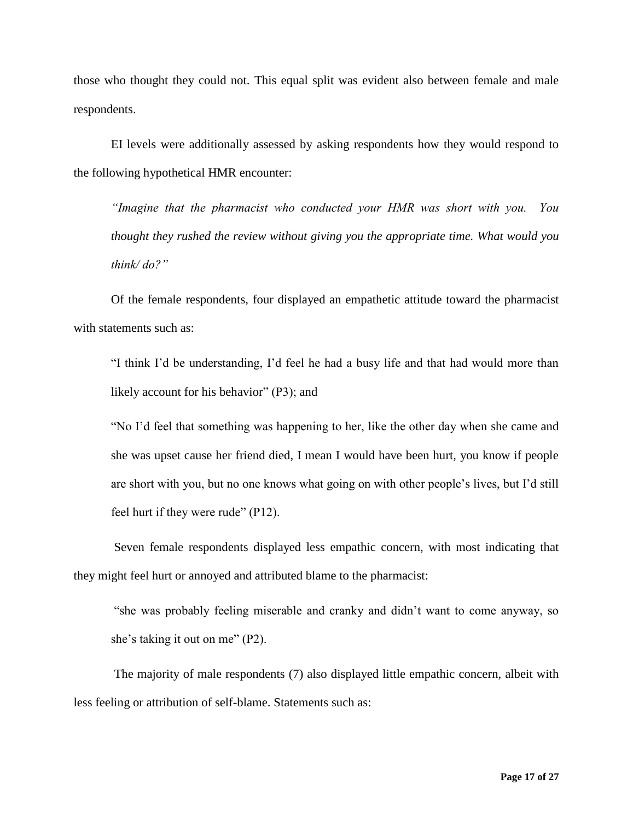those who thought they could not. This equal split was evident also between female and male respondents.

EI levels were additionally assessed by asking respondents how they would respond to the following hypothetical HMR encounter:

*"Imagine that the pharmacist who conducted your HMR was short with you. You thought they rushed the review without giving you the appropriate time. What would you think/ do?"* 

Of the female respondents, four displayed an empathetic attitude toward the pharmacist with statements such as:

"I think I'd be understanding, I'd feel he had a busy life and that had would more than likely account for his behavior" (P3); and

"No I'd feel that something was happening to her, like the other day when she came and she was upset cause her friend died, I mean I would have been hurt, you know if people are short with you, but no one knows what going on with other people's lives, but I'd still feel hurt if they were rude" (P12).

Seven female respondents displayed less empathic concern, with most indicating that they might feel hurt or annoyed and attributed blame to the pharmacist:

"she was probably feeling miserable and cranky and didn't want to come anyway, so she's taking it out on me" (P2).

The majority of male respondents (7) also displayed little empathic concern, albeit with less feeling or attribution of self-blame. Statements such as: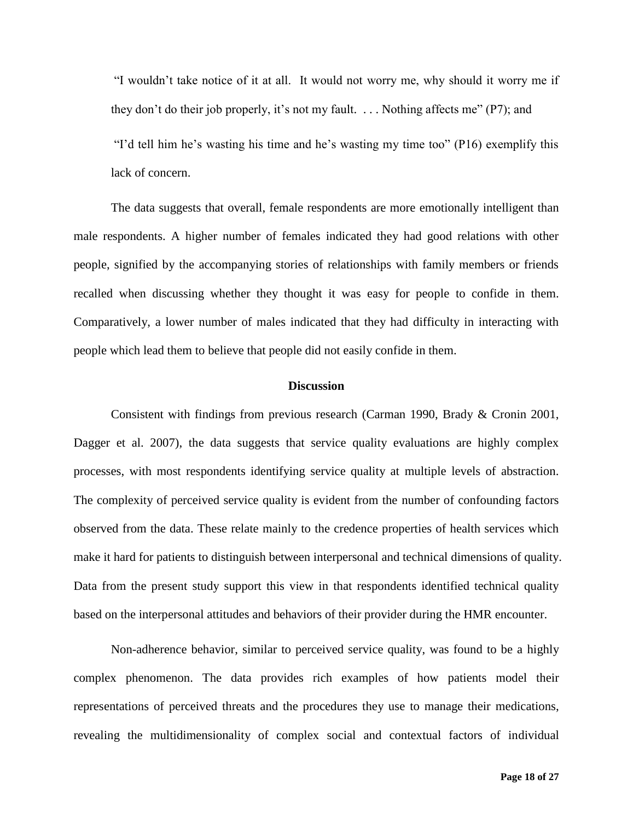"I wouldn't take notice of it at all. It would not worry me, why should it worry me if they don't do their job properly, it's not my fault. . . . Nothing affects me" (P7); and

"I'd tell him he's wasting his time and he's wasting my time too" (P16) exemplify this lack of concern.

The data suggests that overall, female respondents are more emotionally intelligent than male respondents. A higher number of females indicated they had good relations with other people, signified by the accompanying stories of relationships with family members or friends recalled when discussing whether they thought it was easy for people to confide in them. Comparatively, a lower number of males indicated that they had difficulty in interacting with people which lead them to believe that people did not easily confide in them.

## **Discussion**

Consistent with findings from previous research (Carman 1990, Brady & Cronin 2001, Dagger et al. 2007), the data suggests that service quality evaluations are highly complex processes, with most respondents identifying service quality at multiple levels of abstraction. The complexity of perceived service quality is evident from the number of confounding factors observed from the data. These relate mainly to the credence properties of health services which make it hard for patients to distinguish between interpersonal and technical dimensions of quality. Data from the present study support this view in that respondents identified technical quality based on the interpersonal attitudes and behaviors of their provider during the HMR encounter.

Non-adherence behavior, similar to perceived service quality, was found to be a highly complex phenomenon. The data provides rich examples of how patients model their representations of perceived threats and the procedures they use to manage their medications, revealing the multidimensionality of complex social and contextual factors of individual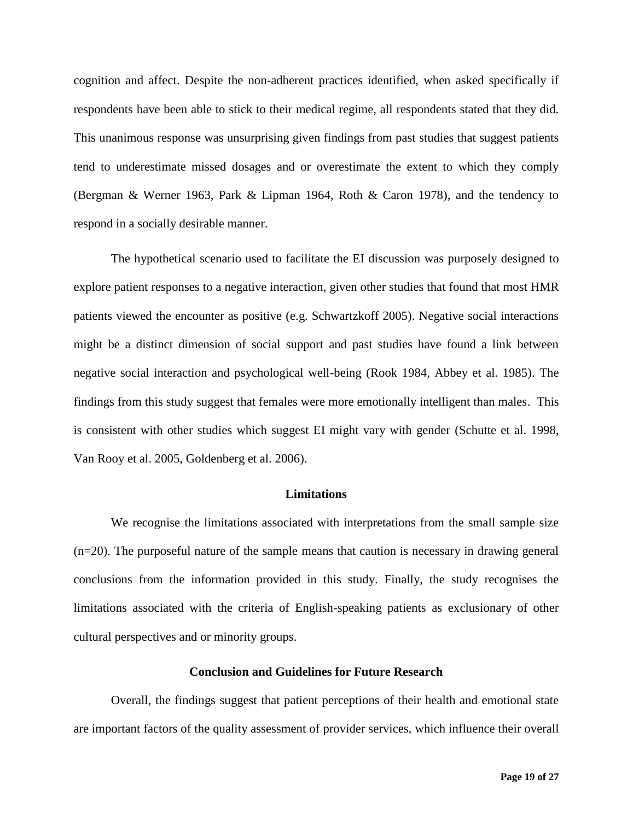cognition and affect. Despite the non-adherent practices identified, when asked specifically if respondents have been able to stick to their medical regime, all respondents stated that they did. This unanimous response was unsurprising given findings from past studies that suggest patients tend to underestimate missed dosages and or overestimate the extent to which they comply (Bergman & Werner 1963, Park & Lipman 1964, Roth & Caron 1978), and the tendency to respond in a socially desirable manner.

The hypothetical scenario used to facilitate the EI discussion was purposely designed to explore patient responses to a negative interaction, given other studies that found that most HMR patients viewed the encounter as positive (e.g. Schwartzkoff 2005). Negative social interactions might be a distinct dimension of social support and past studies have found a link between negative social interaction and psychological well-being (Rook 1984, Abbey et al. 1985). The findings from this study suggest that females were more emotionally intelligent than males. This is consistent with other studies which suggest EI might vary with gender (Schutte et al. 1998, Van Rooy et al. 2005, Goldenberg et al. 2006).

## **Limitations**

We recognise the limitations associated with interpretations from the small sample size (n=20). The purposeful nature of the sample means that caution is necessary in drawing general conclusions from the information provided in this study. Finally, the study recognises the limitations associated with the criteria of English-speaking patients as exclusionary of other cultural perspectives and or minority groups.

#### **Conclusion and Guidelines for Future Research**

Overall, the findings suggest that patient perceptions of their health and emotional state are important factors of the quality assessment of provider services, which influence their overall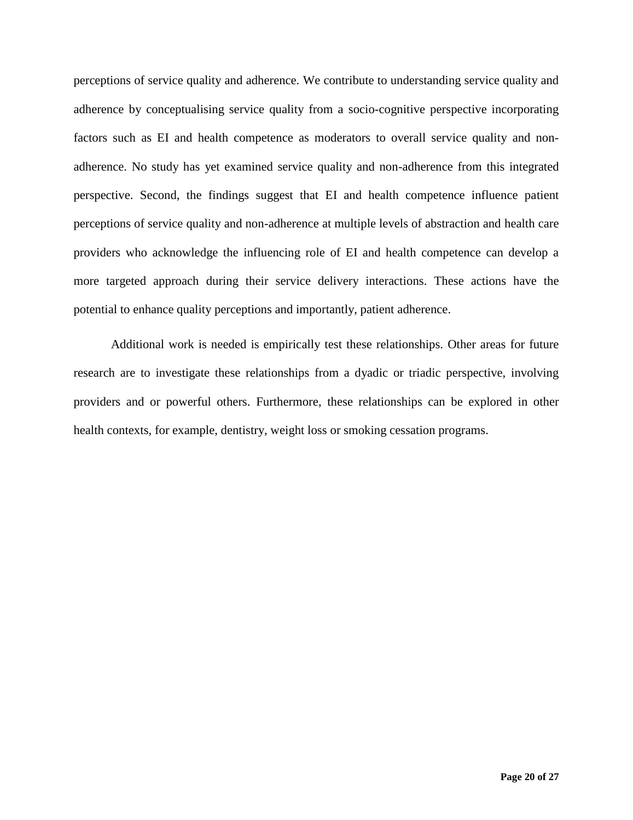perceptions of service quality and adherence. We contribute to understanding service quality and adherence by conceptualising service quality from a socio-cognitive perspective incorporating factors such as EI and health competence as moderators to overall service quality and nonadherence. No study has yet examined service quality and non-adherence from this integrated perspective. Second, the findings suggest that EI and health competence influence patient perceptions of service quality and non-adherence at multiple levels of abstraction and health care providers who acknowledge the influencing role of EI and health competence can develop a more targeted approach during their service delivery interactions. These actions have the potential to enhance quality perceptions and importantly, patient adherence.

Additional work is needed is empirically test these relationships. Other areas for future research are to investigate these relationships from a dyadic or triadic perspective, involving providers and or powerful others. Furthermore, these relationships can be explored in other health contexts, for example, dentistry, weight loss or smoking cessation programs.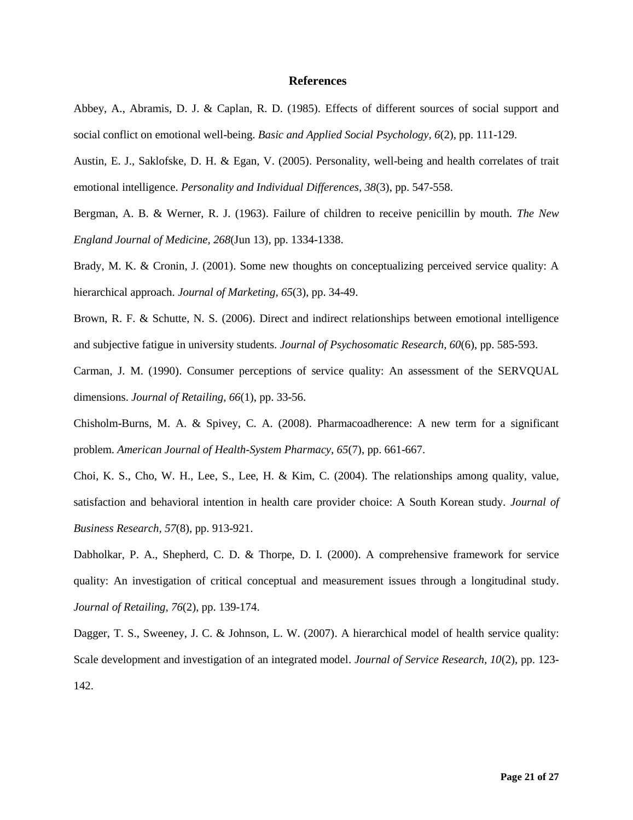#### **References**

Abbey, A., Abramis, D. J. & Caplan, R. D. (1985). Effects of different sources of social support and social conflict on emotional well-being. *Basic and Applied Social Psychology, 6*(2), pp. 111-129.

Austin, E. J., Saklofske, D. H. & Egan, V. (2005). Personality, well-being and health correlates of trait emotional intelligence. *Personality and Individual Differences, 38*(3), pp. 547-558.

Bergman, A. B. & Werner, R. J. (1963). Failure of children to receive penicillin by mouth. *The New England Journal of Medicine, 268*(Jun 13), pp. 1334-1338.

Brady, M. K. & Cronin, J. (2001). Some new thoughts on conceptualizing perceived service quality: A hierarchical approach. *Journal of Marketing, 65*(3), pp. 34-49.

Brown, R. F. & Schutte, N. S. (2006). Direct and indirect relationships between emotional intelligence and subjective fatigue in university students. *Journal of Psychosomatic Research, 60*(6), pp. 585-593.

Carman, J. M. (1990). Consumer perceptions of service quality: An assessment of the SERVQUAL dimensions. *Journal of Retailing, 66*(1), pp. 33-56.

Chisholm-Burns, M. A. & Spivey, C. A. (2008). Pharmacoadherence: A new term for a significant problem. *American Journal of Health-System Pharmacy, 65*(7), pp. 661-667.

Choi, K. S., Cho, W. H., Lee, S., Lee, H. & Kim, C. (2004). The relationships among quality, value, satisfaction and behavioral intention in health care provider choice: A South Korean study. *Journal of Business Research, 57*(8), pp. 913-921.

Dabholkar, P. A., Shepherd, C. D. & Thorpe, D. I. (2000). A comprehensive framework for service quality: An investigation of critical conceptual and measurement issues through a longitudinal study. *Journal of Retailing, 76*(2), pp. 139-174.

Dagger, T. S., Sweeney, J. C. & Johnson, L. W. (2007). A hierarchical model of health service quality: Scale development and investigation of an integrated model. *Journal of Service Research, 10*(2), pp. 123- 142.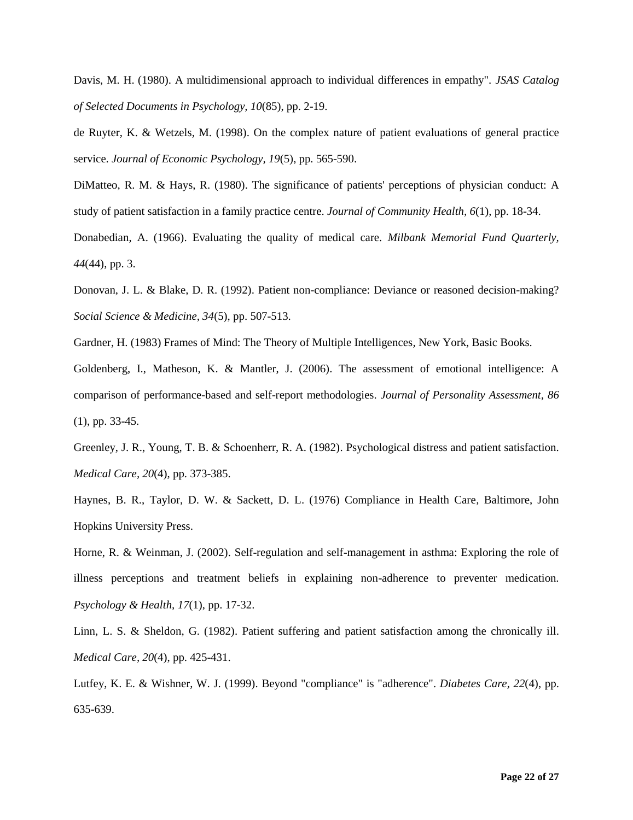Davis, M. H. (1980). A multidimensional approach to individual differences in empathy". *JSAS Catalog of Selected Documents in Psychology, 10*(85), pp. 2-19.

de Ruyter, K. & Wetzels, M. (1998). On the complex nature of patient evaluations of general practice service. *Journal of Economic Psychology, 19*(5), pp. 565-590.

DiMatteo, R. M. & Hays, R. (1980). The significance of patients' perceptions of physician conduct: A study of patient satisfaction in a family practice centre. *Journal of Community Health, 6*(1), pp. 18-34.

Donabedian, A. (1966). Evaluating the quality of medical care. *Milbank Memorial Fund Quarterly, 44*(44), pp. 3.

Donovan, J. L. & Blake, D. R. (1992). Patient non-compliance: Deviance or reasoned decision-making? *Social Science & Medicine, 34*(5), pp. 507-513.

Gardner, H. (1983) Frames of Mind: The Theory of Multiple Intelligences*,* New York, Basic Books.

Goldenberg, I., Matheson, K. & Mantler, J. (2006). The assessment of emotional intelligence: A comparison of performance-based and self-report methodologies. *Journal of Personality Assessment, 86* (1), pp. 33-45.

Greenley, J. R., Young, T. B. & Schoenherr, R. A. (1982). Psychological distress and patient satisfaction. *Medical Care, 20*(4), pp. 373-385.

Haynes, B. R., Taylor, D. W. & Sackett, D. L. (1976) Compliance in Health Care*,* Baltimore, John Hopkins University Press.

Horne, R. & Weinman, J. (2002). Self-regulation and self-management in asthma: Exploring the role of illness perceptions and treatment beliefs in explaining non-adherence to preventer medication. *Psychology & Health, 17*(1), pp. 17-32.

Linn, L. S. & Sheldon, G. (1982). Patient suffering and patient satisfaction among the chronically ill. *Medical Care, 20*(4), pp. 425-431.

Lutfey, K. E. & Wishner, W. J. (1999). Beyond "compliance" is "adherence". *Diabetes Care, 22*(4), pp. 635-639.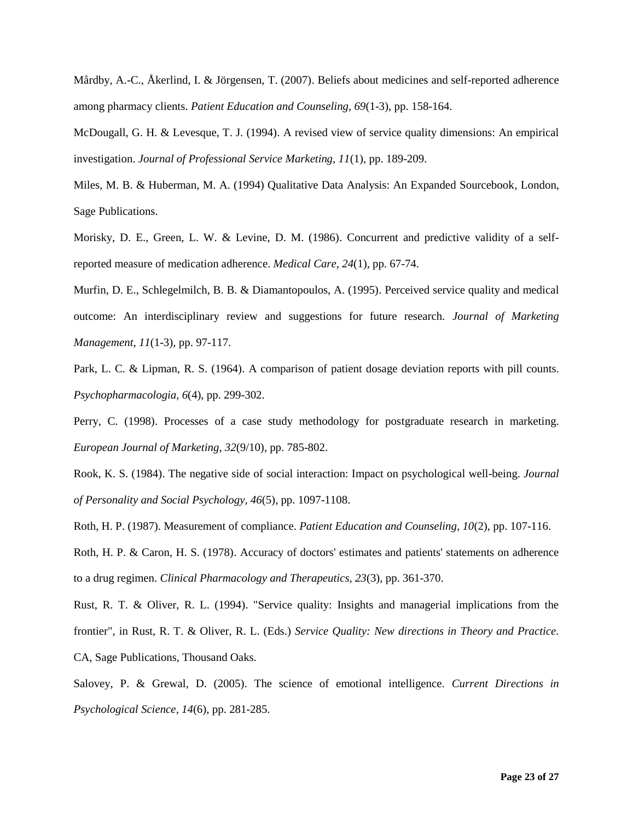Mårdby, A.-C., Åkerlind, I. & Jörgensen, T. (2007). Beliefs about medicines and self-reported adherence among pharmacy clients. *Patient Education and Counseling, 69*(1-3), pp. 158-164.

McDougall, G. H. & Levesque, T. J. (1994). A revised view of service quality dimensions: An empirical investigation. *Journal of Professional Service Marketing, 11*(1), pp. 189-209.

Miles, M. B. & Huberman, M. A. (1994) Qualitative Data Analysis: An Expanded Sourcebook*,* London, Sage Publications.

Morisky, D. E., Green, L. W. & Levine, D. M. (1986). Concurrent and predictive validity of a selfreported measure of medication adherence. *Medical Care, 24*(1), pp. 67-74.

Murfin, D. E., Schlegelmilch, B. B. & Diamantopoulos, A. (1995). Perceived service quality and medical outcome: An interdisciplinary review and suggestions for future research. *Journal of Marketing Management, 11*(1-3), pp. 97-117.

Park, L. C. & Lipman, R. S. (1964). A comparison of patient dosage deviation reports with pill counts. *Psychopharmacologia, 6*(4), pp. 299-302.

Perry, C. (1998). Processes of a case study methodology for postgraduate research in marketing. *European Journal of Marketing, 32*(9/10), pp. 785-802.

Rook, K. S. (1984). The negative side of social interaction: Impact on psychological well-being. *Journal of Personality and Social Psychology, 46*(5), pp. 1097-1108.

Roth, H. P. (1987). Measurement of compliance. *Patient Education and Counseling, 10*(2), pp. 107-116.

Roth, H. P. & Caron, H. S. (1978). Accuracy of doctors' estimates and patients' statements on adherence to a drug regimen. *Clinical Pharmacology and Therapeutics, 23*(3), pp. 361-370.

Rust, R. T. & Oliver, R. L. (1994). "Service quality: Insights and managerial implications from the frontier", in Rust, R. T. & Oliver, R. L. (Eds.) *Service Quality: New directions in Theory and Practice.*  CA, Sage Publications, Thousand Oaks.

Salovey, P. & Grewal, D. (2005). The science of emotional intelligence. *Current Directions in Psychological Science, 14*(6), pp. 281-285.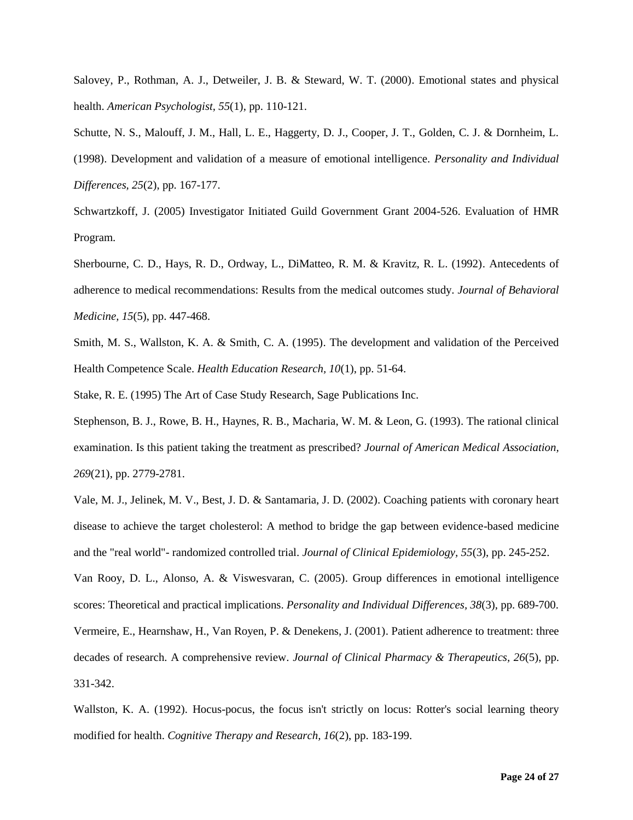Salovey, P., Rothman, A. J., Detweiler, J. B. & Steward, W. T. (2000). Emotional states and physical health. *American Psychologist, 55*(1), pp. 110-121.

Schutte, N. S., Malouff, J. M., Hall, L. E., Haggerty, D. J., Cooper, J. T., Golden, C. J. & Dornheim, L. (1998). Development and validation of a measure of emotional intelligence. *Personality and Individual Differences, 25*(2), pp. 167-177.

Schwartzkoff, J. (2005) Investigator Initiated Guild Government Grant 2004-526. Evaluation of HMR Program.

Sherbourne, C. D., Hays, R. D., Ordway, L., DiMatteo, R. M. & Kravitz, R. L. (1992). Antecedents of adherence to medical recommendations: Results from the medical outcomes study. *Journal of Behavioral Medicine, 15*(5), pp. 447-468.

Smith, M. S., Wallston, K. A. & Smith, C. A. (1995). The development and validation of the Perceived Health Competence Scale. *Health Education Research, 10*(1), pp. 51-64.

Stake, R. E. (1995) The Art of Case Study Research, Sage Publications Inc.

Stephenson, B. J., Rowe, B. H., Haynes, R. B., Macharia, W. M. & Leon, G. (1993). The rational clinical examination. Is this patient taking the treatment as prescribed? *Journal of American Medical Association, 269*(21), pp. 2779-2781.

Vale, M. J., Jelinek, M. V., Best, J. D. & Santamaria, J. D. (2002). Coaching patients with coronary heart disease to achieve the target cholesterol: A method to bridge the gap between evidence-based medicine and the "real world"- randomized controlled trial. *Journal of Clinical Epidemiology, 55*(3), pp. 245-252.

Van Rooy, D. L., Alonso, A. & Viswesvaran, C. (2005). Group differences in emotional intelligence scores: Theoretical and practical implications. *Personality and Individual Differences, 38*(3), pp. 689-700. Vermeire, E., Hearnshaw, H., Van Royen, P. & Denekens, J. (2001). Patient adherence to treatment: three decades of research. A comprehensive review. *Journal of Clinical Pharmacy & Therapeutics, 26*(5), pp. 331-342.

Wallston, K. A. (1992). Hocus-pocus, the focus isn't strictly on locus: Rotter's social learning theory modified for health. *Cognitive Therapy and Research, 16*(2), pp. 183-199.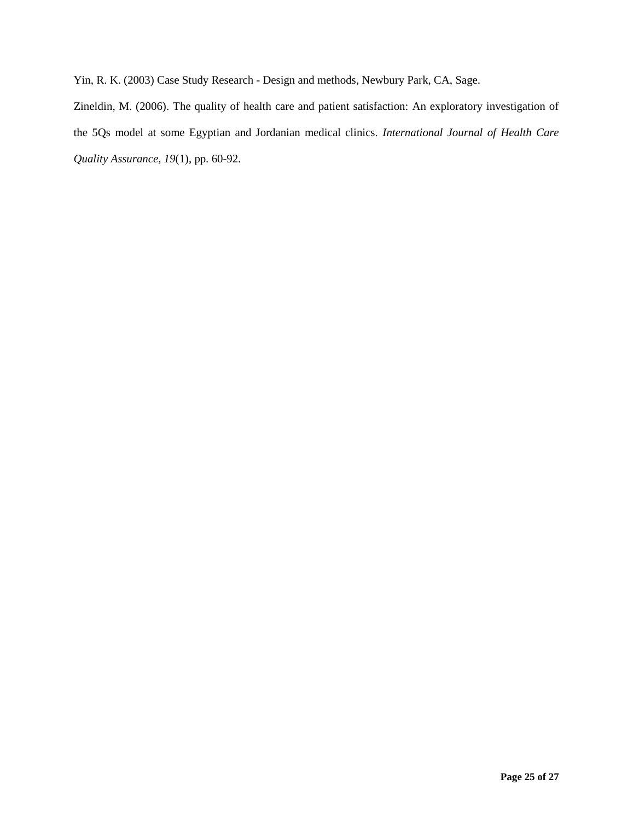Yin, R. K. (2003) Case Study Research - Design and methods*,* Newbury Park, CA, Sage.

Zineldin, M. (2006). The quality of health care and patient satisfaction: An exploratory investigation of the 5Qs model at some Egyptian and Jordanian medical clinics. *International Journal of Health Care Quality Assurance, 19*(1), pp. 60-92.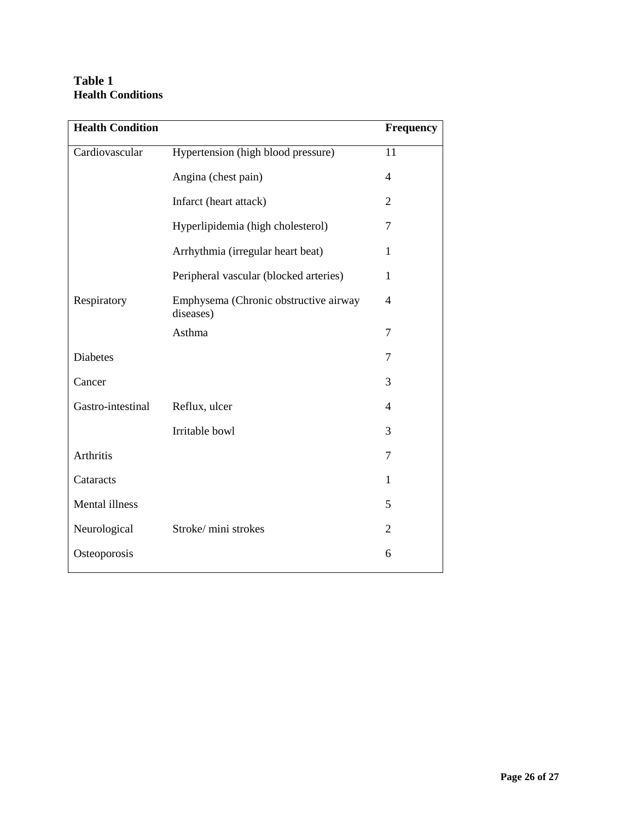# **Table 1 Health Conditions**

| <b>Health Condition</b> |                                                    | <b>Frequency</b>         |
|-------------------------|----------------------------------------------------|--------------------------|
| Cardiovascular          | Hypertension (high blood pressure)                 | 11                       |
|                         | Angina (chest pain)                                | $\overline{\mathcal{A}}$ |
|                         | Infarct (heart attack)                             | $\overline{2}$           |
|                         | Hyperlipidemia (high cholesterol)                  | 7                        |
|                         | Arrhythmia (irregular heart beat)                  | 1                        |
|                         | Peripheral vascular (blocked arteries)             | $\mathbf{1}$             |
| Respiratory             | Emphysema (Chronic obstructive airway<br>diseases) | 4                        |
|                         | Asthma                                             | 7                        |
| Diabetes                |                                                    | 7                        |
| Cancer                  |                                                    | 3                        |
| Gastro-intestinal       | Reflux, ulcer                                      | 4                        |
|                         | Irritable bowl                                     | 3                        |
| Arthritis               |                                                    | 7                        |
| Cataracts               |                                                    | 1                        |
| Mental illness          |                                                    | 5                        |
| Neurological            | Stroke/mini strokes                                | $\overline{2}$           |
| Osteoporosis            |                                                    | 6                        |